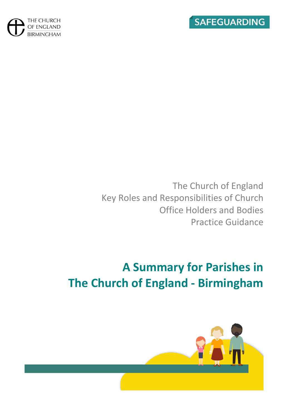



The Church of England Key Roles and Responsibilities of Church Office Holders and Bodies Practice Guidance

# **A Summary for Parishes in The Church of England - Birmingham**

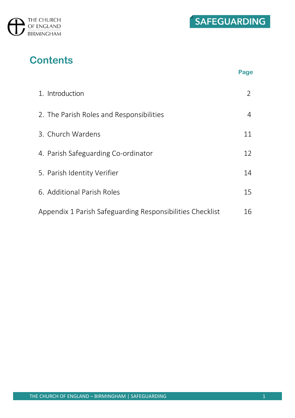



**Page**

# **Contents**

| 1. Introduction                                           |    |
|-----------------------------------------------------------|----|
| 2. The Parish Roles and Responsibilities                  | 4  |
| 3. Church Wardens                                         | 11 |
| 4. Parish Safeguarding Co-ordinator                       | 12 |
| 5. Parish Identity Verifier                               | 14 |
| 6. Additional Parish Roles                                | 15 |
| Appendix 1 Parish Safeguarding Responsibilities Checklist | 16 |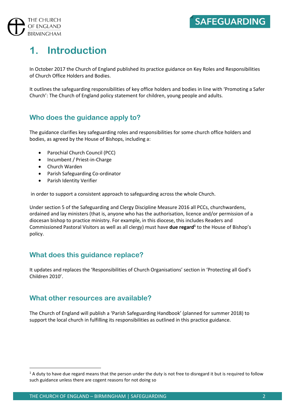# **1. Introduction**

In October 2017 the Church of England published its practice guidance on Key Roles and Responsibilities of Church Office Holders and Bodies.

It outlines the safeguarding responsibilities of key office holders and bodies in line with 'Promoting a Safer Church': The Church of England policy statement for children, young people and adults.

### **Who does the guidance apply to?**

The guidance clarifies key safeguarding roles and responsibilities for some church office holders and bodies, as agreed by the House of Bishops, including a:

- Parochial Church Council (PCC)
- Incumbent / Priest-in-Charge
- Church Warden
- Parish Safeguarding Co-ordinator
- Parish Identity Verifier

in order to support a consistent approach to safeguarding across the whole Church.

Under section 5 of the Safeguarding and Clergy Discipline Measure 2016 all PCCs, churchwardens, ordained and lay ministers (that is, anyone who has the authorisation, licence and/or permission of a diocesan bishop to practice ministry. For example, in this diocese, this includes Readers and Commissioned Pastoral Visitors as well as all clergy) must have **due regard<sup>1</sup>** to the House of Bishop's policy.

### **What does this guidance replace?**

It updates and replaces the 'Responsibilities of Church Organisations' section in 'Protecting all God's Children 2010'.

### **What other resources are available?**

The Church of England will publish a 'Parish Safeguarding Handbook' (planned for summer 2018) to support the local church in fulfilling its responsibilities as outlined in this practice guidance.

 $1$  A duty to have due regard means that the person under the duty is not free to disregard it but is required to follow such guidance unless there are cogent reasons for not doing so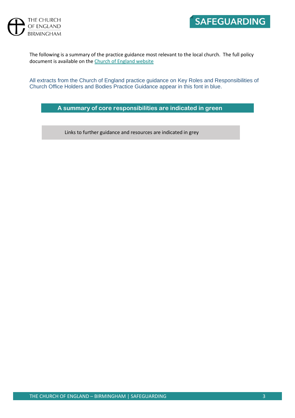

The following is a summary of the practice guidance most relevant to the local church. The full policy document is available on th[e Church of England website](https://www.churchofengland.org/sites/default/files/2017-10/roles-and-responsibilities-practice-guidance.pdf)

All extracts from the Church of England practice guidance on Key Roles and Responsibilities of Church Office Holders and Bodies Practice Guidance appear in this font in blue.

**A summary of core responsibilities are indicated in green** 

Links to further guidance and resources are indicated in grey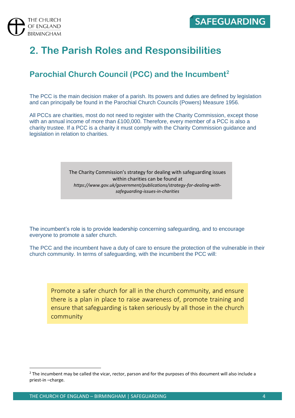

# **2. The Parish Roles and Responsibilities**

## **Parochial Church Council (PCC) and the Incumbent<sup>2</sup>**

The PCC is the main decision maker of a parish. Its powers and duties are defined by legislation and can principally be found in the Parochial Church Councils (Powers) Measure 1956.

All PCCs are charities, most do not need to register with the Charity Commission, except those with an annual income of more than £100,000. Therefore, every member of a PCC is also a charity trustee. If a PCC is a charity it must comply with the Charity Commission guidance and legislation in relation to charities.

> The Charity Commission's strategy for dealing with safeguarding issues within charities can be found at *https://www.gov.uk/government/publications/strategy-for-dealing-withsafeguarding-issues-in-charities*

The incumbent's role is to provide leadership concerning safeguarding, and to encourage everyone to promote a safer church.

The PCC and the incumbent have a duty of care to ensure the protection of the vulnerable in their church community. In terms of safeguarding, with the incumbent the PCC will:

Promote a safer church for all in the church community, and ensure there is a plan in place to raise awareness of, promote training and ensure that safeguarding is taken seriously by all those in the church community

 $2$  The incumbent may be called the vicar, rector, parson and for the purposes of this document will also include a priest-in –charge.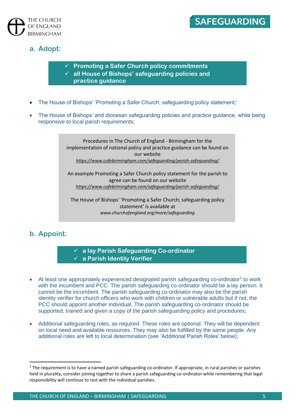



### **a. Adopt:**

- ✓ **Promoting a Safer Church policy commitments**
- ✓ **all House of Bishops' safeguarding policies and** 
	- **practice guidance**
- The House of Bishops' 'Promoting a Safer Church; safeguarding policy statement;'
- The House of Bishops' and diocesan safeguarding policies and practice guidance, while being responsive to local parish requirements;

Procedures in The Church of England - Birmingham for the implementation of national policy and practice guidance can be found on our website *<https://www.cofebirmingham.com/safeguarding/parish-safeguarding/>*

An example Promoting a Safer Church policy statement for the parish to agree can be found on our website *<https://www.cofebirmingham.com/safeguarding/parish-safeguarding/>*

The House of Bishops' 'Promoting a Safer Church; safeguarding policy statement' is available at *www.churchofengland.org/more/safeguarding*

## **b. Appoint:**

✓ **a lay Parish Safeguarding Co-ordinator** ✓ **a Parish Identity Verifier**

- At least one appropriately experienced designated parish safeguarding co-ordinator<sup>3</sup> to work with the incumbent and PCC. The parish safeguarding co-ordinator should be a lay person. It cannot be the incumbent. The parish safeguarding co-ordinator may also be the parish identity verifier for church officers who work with children or vulnerable adults but if not, the PCC should appoint another individual. The parish safeguarding co-ordinator should be supported, trained and given a copy of the parish safeguarding policy and procedures;
- Additional safeguarding roles, as required. These roles are optional. They will be dependent on local need and available resources. They may also be fulfilled by the same people. Any additional roles are left to local determination (see 'Additional Parish Roles' below);

 $3$  The requirement is to have a named parish safeguarding co-ordinator. If appropriate, in rural parishes or parishes held in plurality, consider joining together to share a parish safeguarding co-ordinator while remembering that legal responsibility will continue to rest with the individual parishes.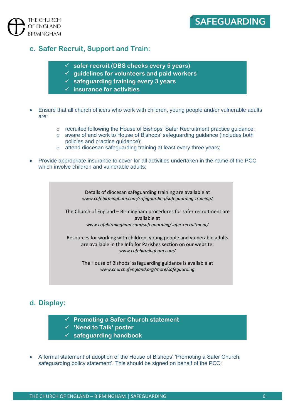

# **SAFEGUARDING**

#### **c. Safer Recruit, Support and Train:**

- ✓ **safer recruit (DBS checks every 5 years)**
- ✓ **guidelines for volunteers and paid workers**
- ✓ **safeguarding training every 3 years**
- ✓ **insurance for activities**
- Ensure that all church officers who work with children, young people and/or vulnerable adults are:
	- $\circ$  recruited following the House of Bishops' Safer Recruitment practice guidance;
	- $\circ$  aware of and work to House of Bishops' safeguarding guidance (includes both policies and practice guidance);
	- o attend diocesan safeguarding training at least every three years;
- Provide appropriate insurance to cover for all activities undertaken in the name of the PCC which involve children and vulnerable adults;

Details of diocesan safeguarding training are available at *www.cofebirmingham.com/safeguarding/safeguarding-training/*

The Church of England – Birmingham procedures for safer recruitment are available at *www.cofebirmingham.com/safeguarding/safer-recruitment/*

Resources for working with children, young people and vulnerable adults are available in the Info for Parishes section on our website: *[www.cofebirmingham.com/](http://www.cofebirmingham.com/)*

The House of Bishops' safeguarding guidance is available at *www.churchofengland.org/more/safeguarding*

### **d. Display:**

- ✓ **Promoting a Safer Church statement**
- ✓ **'Need to Talk' poster**
- ✓ **safeguarding handbook**
- A formal statement of adoption of the House of Bishops' 'Promoting a Safer Church; safeguarding policy statement'. This should be signed on behalf of the PCC;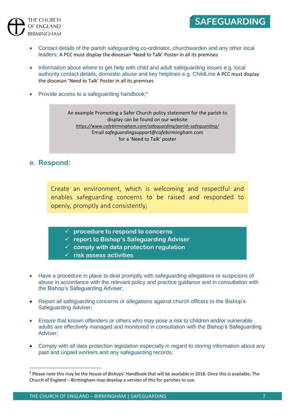



- Contact details of the parish safeguarding co-ordinator, churchwarden and any other local leaders; A PCC must display the diocesan 'Need to Talk' Poster in all its premises
- Information about where to get help with child and adult safeguarding issues e.g. local authority contact details, domestic abuse and key helplines e.g. ChildLine A PCC must display the diocesan 'Need to Talk' Poster in all its premises
- Provide access to a safeguarding handbook;<sup>4</sup>

An example Promoting a Safer Church policy statement for the parish to display can be found on our website *<https://www.cofebirmingham.com/safeguarding/parish-safeguarding/>* Email *[safeguardingsupport@cofebirmingham.com](mailto:safeguardingsupport@cofebirmingham.com)* for a 'Need to Talk' poster

#### **e. Respond:**

Create an environment, which is welcoming and respectful and enables safeguarding concerns to be raised and responded to openly, promptly and consistently;

- ✓ **procedure to respond to concerns**
- ✓ **report to Bishop's Safeguarding Adviser**
- ✓ **comply with data protection regulation**
- ✓ **risk assess activities**
- Have a procedure in place to deal promptly with safeguarding allegations or suspicions of abuse in accordance with the relevant policy and practice guidance and in consultation with the Bishop's Safeguarding Adviser;
- Report all safeguarding concerns or allegations against church officers to the Bishop's Safeguarding Adviser;
- Ensure that known offenders or others who may pose a risk to children and/or vulnerable adults are effectively managed and monitored in consultation with the Bishop's Safeguarding Adviser;
- Comply with all data protection legislation especially in regard to storing information about any paid and unpaid workers and any safeguarding records;

<sup>4</sup> Please note this may be the House of Bishops' Handbook that will be available in 2018. Once this is available, The Church of England – Birmingham may develop a version of this for parishes to use.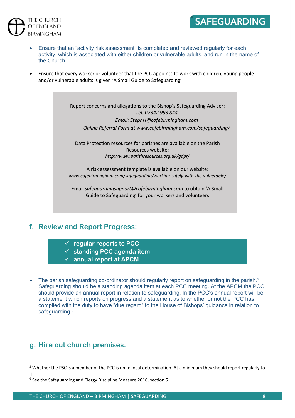



• Ensure that every worker or volunteer that the PCC appoints to work with children, young people and/or vulnerable adults is given 'A Small Guide to Safeguarding'

> Report concerns and allegations to the Bishop's Safeguarding Adviser: *Tel: 07342 993 844 Email[: StephH@cofebirmingham.com](mailto:StephH@cofebirmingham.com)*

*Online Referral Form at www.cofebirmingham.com/safeguarding/*

Data Protection resources for parishes are available on the Parish Resources website: *http://www.parishresources.org.uk/gdpr/*

A risk assessment template is available on our website: *www.cofebirmingham.com/safeguarding/working-safely-with-the-vulnerable/*

Email *safeguardingsupport@cofebirmingham.com* to obtain 'A Small Guide to Safeguarding' for your workers and volunteers

#### **f. Review and Report Progress:**

THE CHURCH OF ENGLAND **BIRMINGHAM** 

- ✓ **regular reports to PCC**
- ✓ **standing PCC agenda item**
- ✓ **annual report at APCM**
- The parish safeguarding co-ordinator should regularly report on safeguarding in the parish.<sup>5</sup> Safeguarding should be a standing agenda item at each PCC meeting. At the APCM the PCC should provide an annual report in relation to safeguarding. In the PCC's annual report will be a statement which reports on progress and a statement as to whether or not the PCC has complied with the duty to have "due regard" to the House of Bishops' guidance in relation to safeguarding.<sup>6</sup>

#### **g. Hire out church premises:**

 $5$  Whether the PSC is a member of the PCC is up to local determination. At a minimum they should report regularly to it.

<sup>&</sup>lt;sup>6</sup> See the Safeguarding and Clergy Discipline Measure 2016, section 5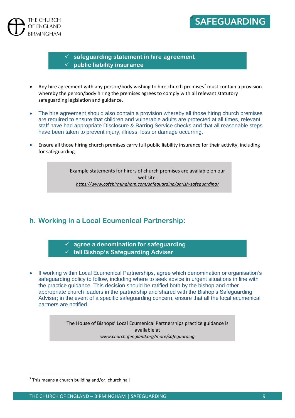

## SAFEGUARDING

✓ **safeguarding statement in hire agreement** ✓ **public liability insurance**

- Any hire agreement with any person/body wishing to hire church premises<sup>7</sup> must contain a provision whereby the person/body hiring the premises agrees to comply with all relevant statutory safeguarding legislation and guidance.
- The hire agreement should also contain a provision whereby all those hiring church premises are required to ensure that children and vulnerable adults are protected at all times, relevant staff have had appropriate Disclosure & Barring Service checks and that all reasonable steps have been taken to prevent injury, illness, loss or damage occurring.
- Ensure all those hiring church premises carry full public liability insurance for their activity, including for safeguarding.

Example statements for hirers of church premises are available on our website: *<https://www.cofebirmingham.com/safeguarding/parish-safeguarding/>*

### **h. Working in a Local Ecumenical Partnership:**

✓ **agree a denomination for safeguarding** ✓ **tell Bishop's Safeguarding Adviser**

• If working within Local Ecumenical Partnerships, agree which denomination or organisation's safeguarding policy to follow, including where to seek advice in urgent situations in line with the practice guidance. This decision should be ratified both by the bishop and other appropriate church leaders in the partnership and shared with the Bishop's Safeguarding Adviser; in the event of a specific safeguarding concern, ensure that all the local ecumenical partners are notified.

> The House of Bishops' Local Ecumenical Partnerships practice guidance is available at *www.churchofengland.org/more/safeguarding*

 $7$  This means a church building and/or, church hall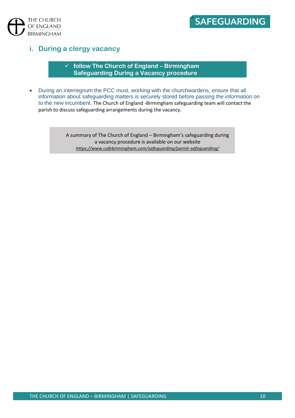



#### **i. During a clergy vacancy**

✓ **follow The Church of England – Birmingham Safeguarding During a Vacancy procedure**

• During an interregnum the PCC must, working with the churchwardens, ensure that all information about safeguarding matters is securely stored before passing the information on to the new incumbent. The Church of England -Birmingham safeguarding team will contact the parish to discuss safeguarding arrangements during the vacancy.

> A summary of The Church of England – Birmingham's safeguarding during a vacancy procedure is available on our website *<https://www.cofebirmingham.com/safeguarding/parish-safeguarding/>*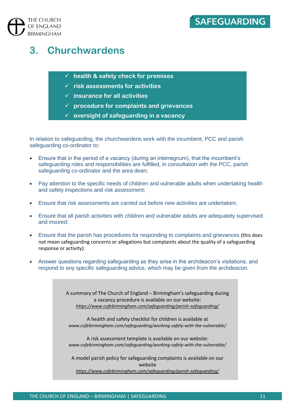

# **3. Churchwardens**

- ✓ **health & safety check for premises**
- ✓ **risk assessments for activities**
- ✓ **insurance for all activities**
- ✓ **procedure for complaints and grievances**
- ✓ **oversight of safeguarding in a vacancy**

In relation to safeguarding, the churchwardens work with the incumbent, PCC and parish safeguarding co-ordinator to:

- Ensure that in the period of a vacancy (during an interregnum), that the incumbent's safeguarding roles and responsibilities are fulfilled, in consultation with the PCC, parish safeguarding co-ordinator and the area dean;
- Pay attention to the specific needs of children and vulnerable adults when undertaking health and safety inspections and risk assessment;
- Ensure that risk assessments are carried out before new activities are undertaken;
- Ensure that all parish activities with children and vulnerable adults are adequately supervised and insured;
- Ensure that the parish has procedures for responding to complaints and grievances (this does not mean safeguarding concerns or allegations but complaints about the quality of a safeguarding response or activity);
- Answer questions regarding safeguarding as they arise in the archdeacon's visitations, and respond to any specific safeguarding advice, which may be given from the archdeacon.

A summary of The Church of England – Birmingham's safeguarding during a vacancy procedure is available on our website: *<https://www.cofebirmingham.com/safeguarding/parish-safeguarding/>*

A health and safety checklist for children is available at *www.cofebirmingham.com/safeguarding/working-safely-with-the-vulnerable/*

A risk assessment template is available on our website: *www.cofebirmingham.com/safeguarding/working-safely-with-the-vulnerable/*

A model parish policy for safeguarding complaints is available on our website

*<https://www.cofebirmingham.com/safeguarding/parish-safeguarding/>*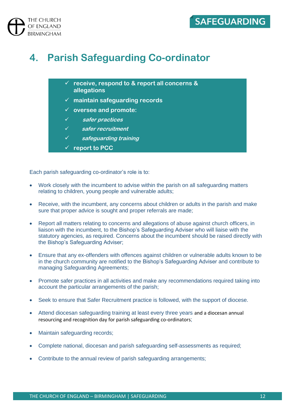

# **4. Parish Safeguarding Co-ordinator**

- ✓ **receive, respond to & report all concerns & allegations**
- ✓ **maintain safeguarding records**
- ✓ **oversee and promote:**
- ✓ **safer practices**
- ✓ **safer recruitment**
- ✓ **safeguarding training**
- ✓ **report to PCC**

Each parish safeguarding co-ordinator's role is to:

- Work closely with the incumbent to advise within the parish on all safeguarding matters relating to children, young people and vulnerable adults;
- Receive, with the incumbent, any concerns about children or adults in the parish and make sure that proper advice is sought and proper referrals are made;
- Report all matters relating to concerns and allegations of abuse against church officers, in liaison with the incumbent, to the Bishop's Safeguarding Adviser who will liaise with the statutory agencies, as required. Concerns about the incumbent should be raised directly with the Bishop's Safeguarding Adviser;
- Ensure that any ex-offenders with offences against children or vulnerable adults known to be in the church community are notified to the Bishop's Safeguarding Adviser and contribute to managing Safeguarding Agreements;
- Promote safer practices in all activities and make any recommendations required taking into account the particular arrangements of the parish;
- Seek to ensure that Safer Recruitment practice is followed, with the support of diocese.
- Attend diocesan safeguarding training at least every three years and a diocesan annual resourcing and recognition day for parish safeguarding co-ordinators;
- Maintain safeguarding records;
- Complete national, diocesan and parish safeguarding self-assessments as required;
- Contribute to the annual review of parish safeguarding arrangements;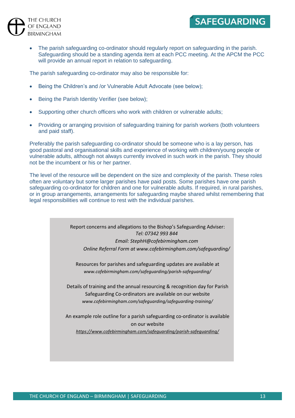

• The parish safeguarding co-ordinator should regularly report on safeguarding in the parish. Safeguarding should be a standing agenda item at each PCC meeting. At the APCM the PCC will provide an annual report in relation to safeguarding.

The parish safeguarding co-ordinator may also be responsible for:

- Being the Children's and /or Vulnerable Adult Advocate (see below);
- Being the Parish Identity Verifier (see below);
- Supporting other church officers who work with children or vulnerable adults;
- Providing or arranging provision of safeguarding training for parish workers (both volunteers and paid staff).

Preferably the parish safeguarding co-ordinator should be someone who is a lay person, has good pastoral and organisational skills and experience of working with children/young people or vulnerable adults, although not always currently involved in such work in the parish. They should not be the incumbent or his or her partner.

The level of the resource will be dependent on the size and complexity of the parish. These roles often are voluntary but some larger parishes have paid posts. Some parishes have one parish safeguarding co-ordinator for children and one for vulnerable adults. If required, in rural parishes, or in group arrangements, arrangements for safeguarding maybe shared whilst remembering that legal responsibilities will continue to rest with the individual parishes.

> Report concerns and allegations to the Bishop's Safeguarding Adviser: *Tel: 07342 993 844*

*Email[: StephH@cofebirmingham.com](mailto:StephH@cofebirmingham.com) Online Referral Form at www.cofebirmingham.com/safeguarding/*

Resources for parishes and safeguarding updates are available at *www.cofebirmingham.com/safeguarding/parish-safeguarding/*

Details of training and the annual resourcing & recognition day for Parish Safeguarding Co-ordinators are available on our website *www.cofebirmingham.com/safeguarding/safeguarding-training/*

An example role outline for a parish safeguarding co-ordinator is available on our website *<https://www.cofebirmingham.com/safeguarding/parish-safeguarding/>*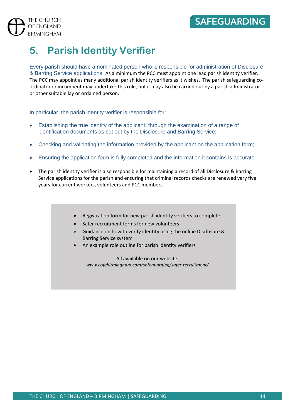# **5. Parish Identity Verifier**

Every parish should have a nominated person who is responsible for administration of Disclosure & Barring Service applications. As a minimum the PCC must appoint one lead parish identity verifier. The PCC may appoint as many additional parish identity verifiers as it wishes. The parish safeguarding coordinator or incumbent may undertake this role, but it may also be carried out by a parish administrator or other suitable lay or ordained person.

In particular, the parish identity verifier is responsible for:

- Establishing the true identity of the applicant, through the examination of a range of identification documents as set out by the Disclosure and Barring Service;
- Checking and validating the information provided by the applicant on the application form;
- Ensuring the application form is fully completed and the information it contains is accurate.
- The parish identity verifier is also responsible for maintaining a record of all Disclosure & Barring Service applications for the parish and ensuring that criminal records checks are renewed very five years for current workers, volunteers and PCC members.
	- Registration form for new parish identity verifiers to complete
	- Safer recruitment forms for new volunteers
	- Guidance on how to verify identity using the online Disclosure & Barring Service system
	- An example role outline for parish identity verifiers

All available on our website: *www.cofebirmingham.com/safeguarding/safer-recruitment/*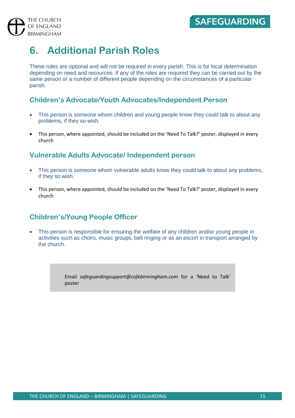# **6. Additional Parish Roles**

These roles are optional and will not be required in every parish. This is for local determination depending on need and resources. If any of the roles are required they can be carried out by the same person or a number of different people depending on the circumstances of a particular parish.

### **Children's Advocate/Youth Advocates/Independent Person**

- This person is someone whom children and young people know they could talk to about any problems, if they so wish.
- This person, where appointed, should be included on the 'Need To Talk?' poster, displayed in every church

### **Vulnerable Adults Advocate/ Independent person**

- This person is someone whom vulnerable adults know they could talk to about any problems, if they so wish.
- This person, where appointed, should be included on the 'Need To Talk?' poster, displayed in every church

### **Children's/Young People Officer**

• This person is responsible for ensuring the welfare of any children and/or young people in activities such as choirs, music groups, bell ringing or as an escort in transport arranged by the church.

> Email *[safeguardingsupport@cofebirmingham.com](mailto:safeguardingsupport@cofebirmingham.com)* for a 'Need to Talk' poster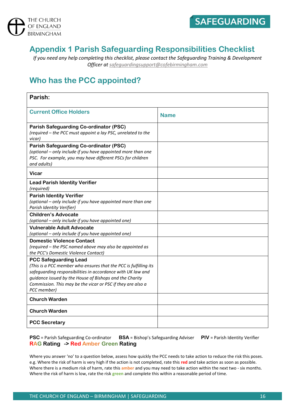



## **Appendix 1 Parish Safeguarding Responsibilities Checklist**

*If you need any help completing this checklist, please contact the Safeguarding Training & Development Officer a[t safeguardingsupport@cofebirmingham.com](mailto:safeguardingsupport@cofebirmingham.com)*

## **Who has the PCC appointed?**

| Parish:                                                                                                                                                                                                                                                                                                  |             |
|----------------------------------------------------------------------------------------------------------------------------------------------------------------------------------------------------------------------------------------------------------------------------------------------------------|-------------|
| <b>Current Office Holders</b>                                                                                                                                                                                                                                                                            | <b>Name</b> |
| <b>Parish Safeguarding Co-ordinator (PSC)</b><br>(required - the PCC must appoint a lay PSC, unrelated to the<br>vicar)                                                                                                                                                                                  |             |
| <b>Parish Safeguarding Co-ordinator (PSC)</b><br>(optional - only include if you have appointed more than one<br>PSC. For example, you may have different PSCs for children<br>and adults)                                                                                                               |             |
| Vicar                                                                                                                                                                                                                                                                                                    |             |
| <b>Lead Parish Identity Verifier</b><br>(required)                                                                                                                                                                                                                                                       |             |
| <b>Parish Identity Verifier</b><br>(optional - only include if you have appointed more than one<br>Parish Identity Verifier)                                                                                                                                                                             |             |
| <b>Children's Advocate</b><br>(optional – only include if you have appointed one)                                                                                                                                                                                                                        |             |
| <b>Vulnerable Adult Advocate</b><br>(optional - only include if you have appointed one)                                                                                                                                                                                                                  |             |
| <b>Domestic Violence Contact</b><br>(required - the PSC named above may also be appointed as<br>the PCC's Domestic Violence Contact)                                                                                                                                                                     |             |
| <b>PCC Safeguarding Lead</b><br>(This is a PCC member who ensures that the PCC is fulfilling its<br>safeguarding responsibilities in accordance with UK law and<br>guidance issued by the House of Bishops and the Charity<br>Commission. This may be the vicar or PSC if they are also a<br>PCC member) |             |
| <b>Church Warden</b>                                                                                                                                                                                                                                                                                     |             |
| <b>Church Warden</b>                                                                                                                                                                                                                                                                                     |             |
| <b>PCC Secretary</b>                                                                                                                                                                                                                                                                                     |             |

**PSC** = Parish Safeguarding Co-ordinator **BSA** = Bishop's Safeguarding Adviser **PIV** = Parish Identity Verifier **RAG Rating -> Red Amber Green Rating**

Where you answer 'no' to a question below, assess how quickly the PCC needs to take action to reduce the risk this poses. e.g. Where the risk of harm is very high if the action is not completed, rate this **red** and take action as soon as possible. Where there is a medium risk of harm, rate this **amber** and you may need to take action within the next two - six months. Where the risk of harm is low, rate the risk **green** and complete this within a reasonable period of time.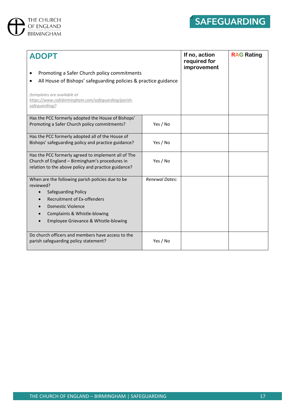



| <b>ADOPT</b><br>Promoting a Safer Church policy commitments<br>All House of Bishops' safeguarding policies & practice guidance<br>(templates are available at<br>https://www.cofebirmingham.com/safequarding/parish-<br>safequarding/) |                       | If no, action<br>required for<br>improvement | <b>RAG Rating</b> |
|----------------------------------------------------------------------------------------------------------------------------------------------------------------------------------------------------------------------------------------|-----------------------|----------------------------------------------|-------------------|
| Has the PCC formerly adopted the House of Bishops'<br>Promoting a Safer Church policy commitments?                                                                                                                                     | Yes / No              |                                              |                   |
| Has the PCC formerly adopted all of the House of<br>Bishops' safeguarding policy and practice guidance?                                                                                                                                | Yes / No              |                                              |                   |
| Has the PCC formerly agreed to implement all of The<br>Church of England - Birmingham's procedures in<br>relation to the above policy and practice guidance?                                                                           | Yes / No              |                                              |                   |
| When are the following parish policies due to be<br>reviewed?<br><b>Safeguarding Policy</b><br><b>Recruitment of Ex-offenders</b><br>Domestic Violence<br>Complaints & Whistle-blowing<br>Employee Grievance & Whistle-blowing         | <b>Renewal Dates:</b> |                                              |                   |
| Do church officers and members have access to the<br>parish safeguarding policy statement?                                                                                                                                             | Yes / No              |                                              |                   |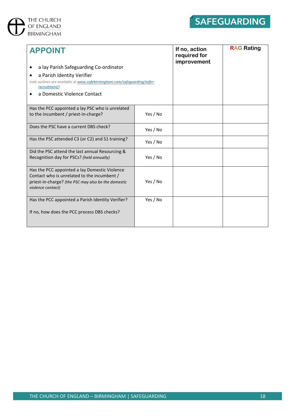



| <b>APPOINT</b>                                                                              |          | If no, action<br>required for<br>improvement | <b>RAG Rating</b> |
|---------------------------------------------------------------------------------------------|----------|----------------------------------------------|-------------------|
| a lay Parish Safeguarding Co-ordinator                                                      |          |                                              |                   |
| a Parish Identity Verifier<br>$\bullet$                                                     |          |                                              |                   |
| (role outlines are available at www.cofebirmingham.com/safequarding/safer-<br>recruitment/) |          |                                              |                   |
| a Domestic Violence Contact<br>٠                                                            |          |                                              |                   |
| Has the PCC appointed a lay PSC who is unrelated                                            |          |                                              |                   |
| to the incumbent / priest-in-charge?                                                        | Yes / No |                                              |                   |
| Does the PSC have a current DBS check?                                                      | Yes / No |                                              |                   |
| Has the PSC attended C3 (or C2) and S1 training?                                            | Yes / No |                                              |                   |
| Did the PSC attend the last annual Resourcing &                                             |          |                                              |                   |
| Recognition day for PSCs? (held annually)                                                   | Yes / No |                                              |                   |
| Has the PCC appointed a lay Domestic Violence                                               |          |                                              |                   |
| Contact who is unrelated to the incumbent /                                                 |          |                                              |                   |
| priest-in-charge? (the PSC may also be the domestic<br>violence contact)                    | Yes / No |                                              |                   |
| Has the PCC appointed a Parish Identity Verifier?                                           | Yes / No |                                              |                   |
| If no, how does the PCC process DBS checks?                                                 |          |                                              |                   |
|                                                                                             |          |                                              |                   |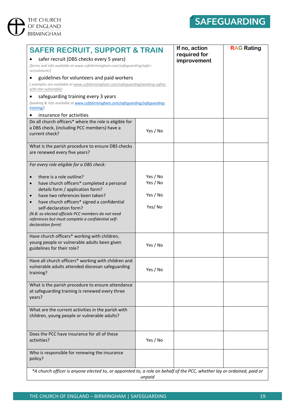



| <b>SAFER RECRUIT, SUPPORT &amp; TRAIN</b>                                                                                            |          | If no, action<br>required for | <b>RAG Rating</b> |
|--------------------------------------------------------------------------------------------------------------------------------------|----------|-------------------------------|-------------------|
| safer recruit (DBS checks every 5 years)<br>(forms and info available at www.cofebirmingham.com/safeguarding/safer-<br>recruitment/) |          | improvement                   |                   |
| guidelines for volunteers and paid workers                                                                                           |          |                               |                   |
| (examples are available at www.cofebirmingham.com/safequarding/working-safely-<br>with-the-vulnerable)                               |          |                               |                   |
| safeguarding training every 3 years                                                                                                  |          |                               |                   |
| (booking & info available at www.cofebirmingham.com/safequarding/safequarding-<br>$training$ )                                       |          |                               |                   |
| insurance for activities                                                                                                             |          |                               |                   |
| Do all church officers* where the role is eligible for                                                                               |          |                               |                   |
| a DBS check, (including PCC members) have a<br>current check?                                                                        | Yes / No |                               |                   |
| What is the parish procedure to ensure DBS checks                                                                                    |          |                               |                   |
| are renewed every five years?                                                                                                        |          |                               |                   |
| For every role eligible for a DBS check:                                                                                             |          |                               |                   |
| there is a role outline?                                                                                                             | Yes / No |                               |                   |
| have church officers* completed a personal                                                                                           | Yes / No |                               |                   |
| details form / application form?<br>have two references been taken?                                                                  | Yes / No |                               |                   |
| have church officers* signed a confidential                                                                                          |          |                               |                   |
| self-declaration form?                                                                                                               | Yes/No   |                               |                   |
| (N.B. as elected officials PCC members do not need<br>references but must complete a confidential self-                              |          |                               |                   |
| declaration form)                                                                                                                    |          |                               |                   |
| Have church officers* working with children,                                                                                         |          |                               |                   |
| young people or vulnerable adults been given                                                                                         |          |                               |                   |
| guidelines for their role?                                                                                                           | Yes / No |                               |                   |
| Have all church officers* working with children and                                                                                  |          |                               |                   |
| vulnerable adults attended diocesan safeguarding                                                                                     |          |                               |                   |
| training?                                                                                                                            | Yes / No |                               |                   |
|                                                                                                                                      |          |                               |                   |
| What is the parish procedure to ensure attendance<br>at safeguarding training is renewed every three                                 |          |                               |                   |
| years?                                                                                                                               |          |                               |                   |
|                                                                                                                                      |          |                               |                   |
| What are the current activities in the parish with<br>children, young people or vulnerable adults?                                   |          |                               |                   |
|                                                                                                                                      |          |                               |                   |
|                                                                                                                                      |          |                               |                   |
| Does the PCC have insurance for all of these<br>activities?                                                                          | Yes / No |                               |                   |
|                                                                                                                                      |          |                               |                   |
| Who is responsible for renewing the insurance                                                                                        |          |                               |                   |
| policy?                                                                                                                              |          |                               |                   |
| *A church officer is anyone elected to, or appointed to, a role on behalf of the PCC, whether lay or ordained, paid or               |          |                               |                   |
|                                                                                                                                      | unpaid   |                               |                   |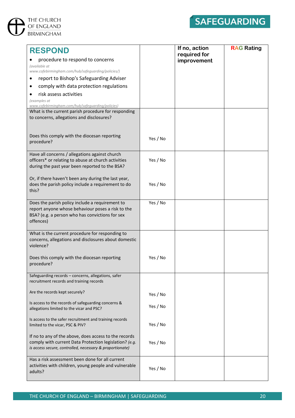



| <b>RESPOND</b><br>procedure to respond to concerns<br>(available at                                                                                                         |          | If no, action<br>required for<br>improvement | <b>RAG Rating</b> |
|-----------------------------------------------------------------------------------------------------------------------------------------------------------------------------|----------|----------------------------------------------|-------------------|
| www.cofebirmingham.com/hub/safeguarding/policies/)<br>report to Bishop's Safeguarding Adviser                                                                               |          |                                              |                   |
| comply with data protection regulations                                                                                                                                     |          |                                              |                   |
| risk assess activities                                                                                                                                                      |          |                                              |                   |
| (examples at                                                                                                                                                                |          |                                              |                   |
| www.cofebirmingham.com/hub/safequarding/policies)                                                                                                                           |          |                                              |                   |
| What is the current parish procedure for responding<br>to concerns, allegations and disclosures?                                                                            |          |                                              |                   |
| Does this comply with the diocesan reporting<br>procedure?                                                                                                                  | Yes / No |                                              |                   |
| Have all concerns / allegations against church<br>officers* or relating to abuse at church activities<br>during the past year been reported to the BSA?                     | Yes / No |                                              |                   |
| Or, if there haven't been any during the last year,<br>does the parish policy include a requirement to do<br>this?                                                          | Yes / No |                                              |                   |
| Does the parish policy include a requirement to<br>report anyone whose behaviour poses a risk to the<br>BSA? (e.g. a person who has convictions for sex<br>offences)        | Yes / No |                                              |                   |
| What is the current procedure for responding to<br>concerns, allegations and disclosures about domestic<br>violence?                                                        |          |                                              |                   |
| Does this comply with the diocesan reporting<br>procedure?                                                                                                                  | Yes / No |                                              |                   |
| Safeguarding records - concerns, allegations, safer<br>recruitment records and training records                                                                             |          |                                              |                   |
| Are the records kept securely?                                                                                                                                              | Yes / No |                                              |                   |
| Is access to the records of safeguarding concerns &<br>allegations limited to the vicar and PSC?                                                                            | Yes / No |                                              |                   |
| Is access to the safer recruitment and training records<br>limited to the vicar, PSC & PIV?                                                                                 | Yes / No |                                              |                   |
| If no to any of the above, does access to the records<br>comply with current Data Protection legislation? (e.g.<br>is access secure, controlled, necessary & proportionate) | Yes / No |                                              |                   |
| Has a risk assessment been done for all current<br>activities with children, young people and vulnerable<br>adults?                                                         | Yes / No |                                              |                   |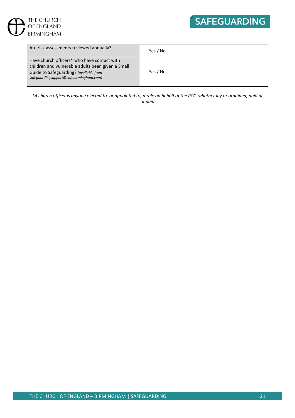



| Are risk assessments reviewed annually?                                                                                                                                               | Yes / No |  |
|---------------------------------------------------------------------------------------------------------------------------------------------------------------------------------------|----------|--|
| Have church officers* who have contact with<br>children and vulnerable adults been given a Small<br>Guide to Safeguarding? (available from<br>safequardingsupport@cofebirmingham.com) | Yes / No |  |
|                                                                                                                                                                                       |          |  |

*\*A church officer is anyone elected to, or appointed to, a role on behalf of the PCC, whether lay or ordained, paid or unpaid*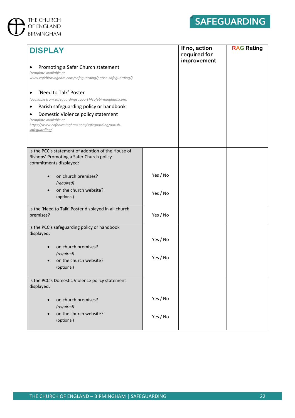



| <b>DISPLAY</b><br>Promoting a Safer Church statement<br>(template available at<br>www.cofebirmingham.com/safeguarding/parish-safeguarding/)<br>'Need to Talk' Poster<br>(available from safeguardingsupport@cofebirmingham.com)<br>Parish safeguarding policy or handbook<br>Domestic Violence policy statement<br>(template available at<br>https://www.cofebirmingham.com/safequarding/parish-<br>safequarding/ |          | If no, action<br>required for<br>improvement | <b>RAG Rating</b> |
|-------------------------------------------------------------------------------------------------------------------------------------------------------------------------------------------------------------------------------------------------------------------------------------------------------------------------------------------------------------------------------------------------------------------|----------|----------------------------------------------|-------------------|
| Is the PCC's statement of adoption of the House of<br>Bishops' Promoting a Safer Church policy<br>commitments displayed:                                                                                                                                                                                                                                                                                          |          |                                              |                   |
| on church premises?<br>(required)                                                                                                                                                                                                                                                                                                                                                                                 | Yes / No |                                              |                   |
| on the church website?<br>(optional)                                                                                                                                                                                                                                                                                                                                                                              | Yes / No |                                              |                   |
| Is the 'Need to Talk' Poster displayed in all church<br>premises?                                                                                                                                                                                                                                                                                                                                                 | Yes / No |                                              |                   |
| Is the PCC's safeguarding policy or handbook<br>displayed:                                                                                                                                                                                                                                                                                                                                                        | Yes / No |                                              |                   |
| on church premises?<br>(required)                                                                                                                                                                                                                                                                                                                                                                                 |          |                                              |                   |
| on the church website?<br>(optional)                                                                                                                                                                                                                                                                                                                                                                              | Yes / No |                                              |                   |
| Is the PCC's Domestic Violence policy statement<br>displayed:                                                                                                                                                                                                                                                                                                                                                     |          |                                              |                   |
| on church premises?<br>$\bullet$<br>(required)                                                                                                                                                                                                                                                                                                                                                                    | Yes / No |                                              |                   |
| on the church website?<br>(optional)                                                                                                                                                                                                                                                                                                                                                                              | Yes / No |                                              |                   |